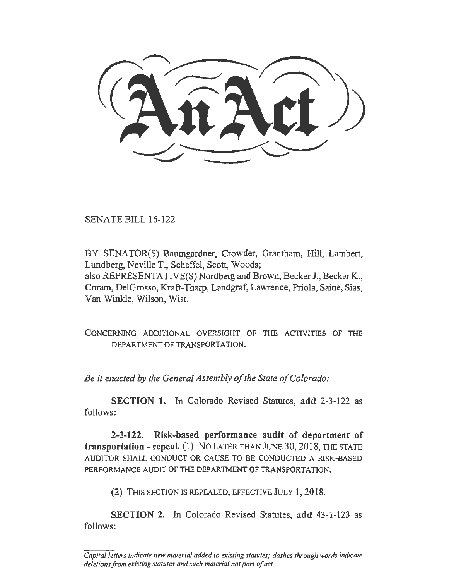SENATE BILL 16-122

BY SENATOR(S) Baumgardner, Crowder, Grantham, Hill, Lambert, Lundberg, Neville T., Scheffel, Scott, Woods; also REPRESENTATIVE(S) Nordberg and Brown, Becker J., Becker K., Coram, DelGrosso, Kraft-Tharp, Landgraf, Lawrence, Priola, Saine, Sias, Van Winkle, Wilson, Wist.

CONCERNING ADDITIONAL OVERSIGHT OF THE ACTIVITIES OF THE DEPARTMENT OF TRANSPORTATION.

*Be it enacted by the General Assembly of the State of Colorado:* 

SECTION 1. In Colorado Revised Statutes, add 2-3-122 as follows:

2-3-122. Risk-based performance audit of department of transportation- repeal. (I) NO LATER THANJUNE30,2018, THE STATE AUDITOR SHALL CONDUCT OR CAUSE TO BE CONDUCTED A RISK-BASED PERFORMANCE AUDIT OF THE DEPARTMENT OF TRANSPORTATION.

(2) THIS SECTION IS REPEALED, EFFECTIVE JULY 1, 2018.

SECTION 2. In Colorado Revised Statutes, add 43-1-123 as follows:

*Capital letters indicate new material added to existing statutes; dashes through words indicate deletions from existing statutes and such material not part of act.*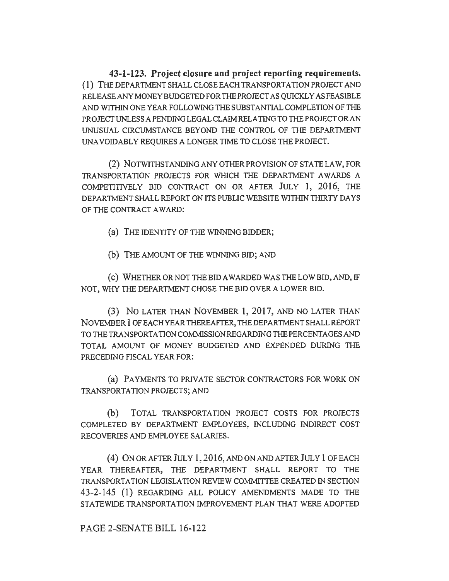**43-1-123. Project closure and project reporting requirements.**  (1) THE DEPARTMENT SHALL CLOSE EACH TRANSPORTATION PROJECT AND RELEASEANYMONEYBUDGETEDFOR THE PROJECT AS QUICKLY AS FEASIBLE AND WITHIN ONE YEAR FOLLOWING THE SUBSTANTIAL COMPLETION OF THE PROJECT UNLESS A PENDING LEGAL CLAIM RELATING TO THE PROJECT OR AN UNUSUAL CIRCUMSTANCE BEYOND THE CONTROL OF THE DEPARTMENT UNAVOIDABLY REQUIRES A LONGER TIME TO CLOSE THE PROJECT.

(2) NOTWITHSTANDING ANY OTHER PROVISION OF STATE LAW, FOR TRANSPORTATION PROJECTS FOR WHICH THE DEPARTMENT AWARDS A COMPETITIVELY BID CONTRACT ON OR AFTER JULY **l,** 2016, THE DEPARTMENT SHALL REPORT ON ITS PUBLIC WEBSITE WITHIN THIRTY DAYS OF THE CONTRACT AWARD:

(a) THE IDENTITY OF THE WINNING BIDDER;

(b) THE AMOUNT OF THE WINNING BID; AND

( c) WHETHER OR NOT THE BID AWARDED WAS THE LOW BID, AND, IF NOT, WHY THE DEPARTMENT CHOSE THE BID OVER A LOWER BID.

(3) No LATER THAN NOVEMBER 1, 2017, AND NO LATER THAN NOVEMBER **1** OFEACHYEAR THEREAFTER, THEDEPARTMENTSHALLREPORT TO THE TRANSPORTATION COMMISSION REGARDING THE PERCENTAGES AND TOTAL AMOUNT OF MONEY BUDGETED AND EXPENDED DURlNG THE PRECEDING FISCAL YEAR FOR:

(a) PAYMENTS TO PRIVATE SECTOR CONTRACTORS FOR WORK ON TRANSPORTATION PROJECTS; AND

(b) TOTAL TRANSPORTATION PROJECT COSTS FOR PROJECTS COMPLETED BY DEPARTMENT EMPLOYEES, INCLUDING INDIRECT COST RECOVERIES AND EMPLOYEE SALARIES.

( 4) ON OR AFTER JULY 1, 2016, AND ON AND AFTER JULY 1 OF EACH YEAR THEREAFTER, THE DEPARTMENT SHALL REPORT TO THE TRANSPORTATION LEGISLATION REVIEW COMMIITEE CREATED IN SECTION 43-2-145 (1) REGARDING ALL POLICY AMENDMENTS MADE TO THE STATEWIDE TRANSPORTATION IMPROVEMENT PLAN THAT WERE ADOPTED

PAGE 2-SENATE BILL 16-122